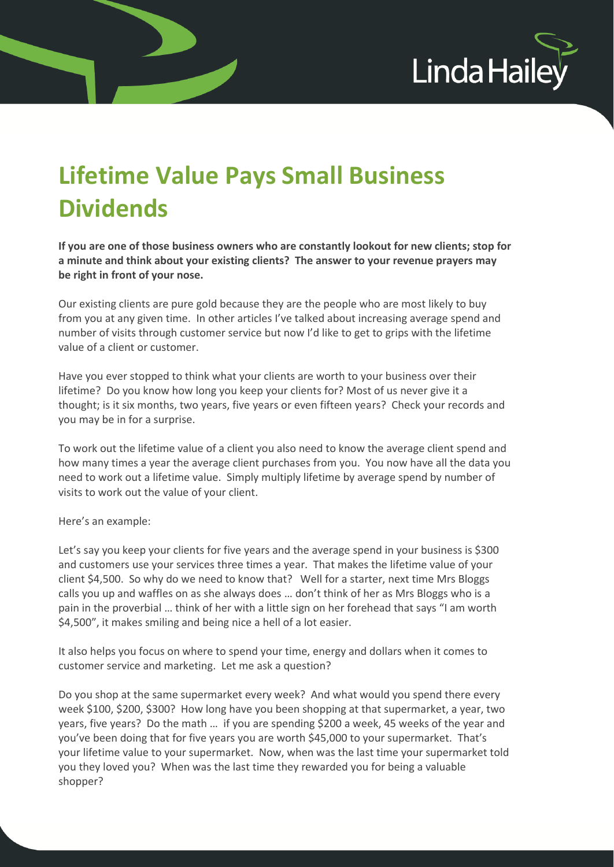

## **Lifetime Value Pays Small Business Dividends**

**If you are one of those business owners who are constantly lookout for new clients; stop for a minute and think about your existing clients? The answer to your revenue prayers may be right in front of your nose.** 

Our existing clients are pure gold because they are the people who are most likely to buy from you at any given time. In other articles I've talked about increasing average spend and number of visits through customer service but now I'd like to get to grips with the lifetime value of a client or customer.

Have you ever stopped to think what your clients are worth to your business over their lifetime? Do you know how long you keep your clients for? Most of us never give it a thought; is it six months, two years, five years or even fifteen years? Check your records and you may be in for a surprise.

To work out the lifetime value of a client you also need to know the average client spend and how many times a year the average client purchases from you. You now have all the data you need to work out a lifetime value. Simply multiply lifetime by average spend by number of visits to work out the value of your client.

Here's an example:

Let's say you keep your clients for five years and the average spend in your business is \$300 and customers use your services three times a year. That makes the lifetime value of your client \$4,500. So why do we need to know that? Well for a starter, next time Mrs Bloggs calls you up and waffles on as she always does … don't think of her as Mrs Bloggs who is a pain in the proverbial … think of her with a little sign on her forehead that says "I am worth \$4,500", it makes smiling and being nice a hell of a lot easier.

It also helps you focus on where to spend your time, energy and dollars when it comes to customer service and marketing. Let me ask a question?

Do you shop at the same supermarket every week? And what would you spend there every week \$100, \$200, \$300? How long have you been shopping at that supermarket, a year, two years, five years? Do the math … if you are spending \$200 a week, 45 weeks of the year and you've been doing that for five years you are worth \$45,000 to your supermarket. That's your lifetime value to your supermarket. Now, when was the last time your supermarket told you they loved you? When was the last time they rewarded you for being a valuable shopper?